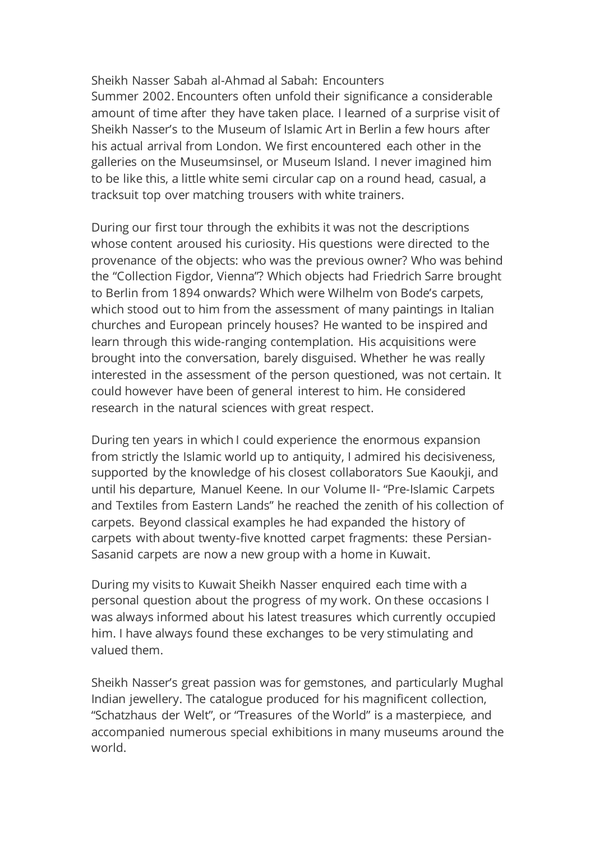Sheikh Nasser Sabah al-Ahmad al Sabah: Encounters Summer 2002. Encounters often unfold their significance a considerable amount of time after they have taken place. I learned of a surprise visit of Sheikh Nasser's to the Museum of Islamic Art in Berlin a few hours after his actual arrival from London. We first encountered each other in the galleries on the Museumsinsel, or Museum Island. I never imagined him to be like this, a little white semi circular cap on a round head, casual, a tracksuit top over matching trousers with white trainers.

During our first tour through the exhibits it was not the descriptions whose content aroused his curiosity. His questions were directed to the provenance of the objects: who was the previous owner? Who was behind the "Collection Figdor, Vienna"? Which objects had Friedrich Sarre brought to Berlin from 1894 onwards? Which were Wilhelm von Bode's carpets, which stood out to him from the assessment of many paintings in Italian churches and European princely houses? He wanted to be inspired and learn through this wide-ranging contemplation. His acquisitions were brought into the conversation, barely disguised. Whether he was really interested in the assessment of the person questioned, was not certain. It could however have been of general interest to him. He considered research in the natural sciences with great respect.

During ten years in which I could experience the enormous expansion from strictly the Islamic world up to antiquity, I admired his decisiveness, supported by the knowledge of his closest collaborators Sue Kaoukji, and until his departure, Manuel Keene. In our Volume II- "Pre-Islamic Carpets and Textiles from Eastern Lands" he reached the zenith of his collection of carpets. Beyond classical examples he had expanded the history of carpets with about twenty-five knotted carpet fragments: these Persian-Sasanid carpets are now a new group with a home in Kuwait.

During my visits to Kuwait Sheikh Nasser enquired each time with a personal question about the progress of my work. On these occasions I was always informed about his latest treasures which currently occupied him. I have always found these exchanges to be very stimulating and valued them.

Sheikh Nasser's great passion was for gemstones, and particularly Mughal Indian jewellery. The catalogue produced for his magnificent collection, "Schatzhaus der Welt", or "Treasures of the World" is a masterpiece, and accompanied numerous special exhibitions in many museums around the world.